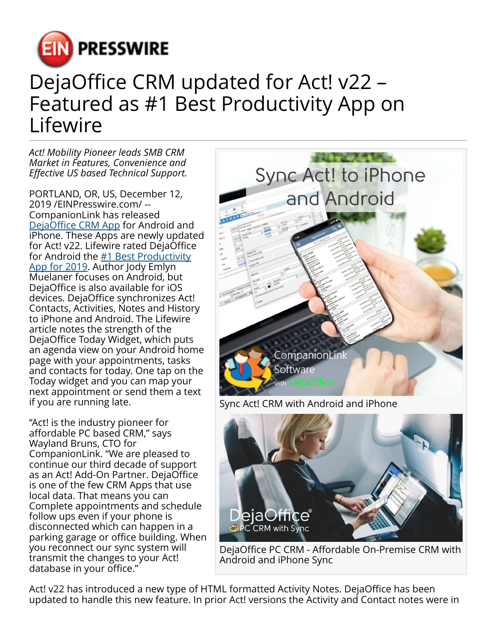

## DejaOffice CRM updated for Act! v22 – Featured as #1 Best Productivity App on Lifewire

*Act! Mobility Pioneer leads SMB CRM Market in Features, Convenience and Effective US based Technical Support.*

PORTLAND, OR, US, December 12, 2019 /[EINPresswire.com](http://www.einpresswire.com)/ -- CompanionLink has released [DejaOffice CRM App](https://www.companionlink.com/sync/iphone/act/) for Android and **iPhone. These Apps are newly updated** for Act! v22. Lifewire rated DejaOffice for Android the  $#1$  Best Productivity [App for 2019](https://www.lifewire.com/best-android-productivity-apps-4589427). Author Jody Emlyn Muelaner focuses on Android, but DejaOffice is also available for iOS devices. DejaOffice synchronizes Act! Contacts, Activities, Notes and History to iPhone and Android. The Lifewire article notes the strength of the DejaOffice Today Widget, which puts an agenda view on your Android home page with your appointments, tasks and contacts for today. One tap on the Today widget and you can map your next appointment or send them a text if you are running late.

"Act! is the industry pioneer for affordable PC based CRM," says Wayland Bruns, CTO for CompanionLink. "We are pleased to continue our third decade of support as an Act! Add-On Partner. DejaOffice is one of the few CRM Apps that use local data. That means you can Complete appointments and schedule follow ups even if your phone is disconnected which can happen in a parking garage or office building. When you reconnect our sync system will transmit the changes to your Act! database in your office."



Sync Act! CRM with Android and iPhone



DejaOffice PC CRM - Affordable On-Premise CRM with Android and iPhone Sync

Act! v22 has introduced a new type of HTML formatted Activity Notes. DejaOffice has been updated to handle this new feature. In prior Act! versions the Activity and Contact notes were in